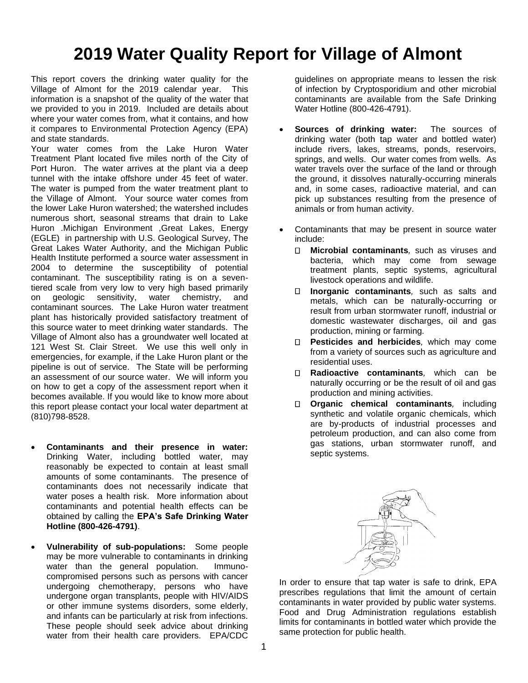# **2019 Water Quality Report for Village of Almont**

This report covers the drinking water quality for the Village of Almont for the 2019 calendar year. This information is a snapshot of the quality of the water that we provided to you in 2019. Included are details about where your water comes from, what it contains, and how it compares to Environmental Protection Agency (EPA) and state standards.

Your water comes from the Lake Huron Water Treatment Plant located five miles north of the City of Port Huron. The water arrives at the plant via a deep tunnel with the intake offshore under 45 feet of water. The water is pumped from the water treatment plant to the Village of Almont. Your source water comes from the lower Lake Huron watershed; the watershed includes numerous short, seasonal streams that drain to Lake Huron .Michigan Environment ,Great Lakes, Energy (EGLE) in partnership with U.S. Geological Survey, The Great Lakes Water Authority, and the Michigan Public Health Institute performed a source water assessment in 2004 to determine the susceptibility of potential contaminant. The susceptibility rating is on a seventiered scale from very low to very high based primarily on geologic sensitivity, water chemistry, and contaminant sources. The Lake Huron water treatment plant has historically provided satisfactory treatment of this source water to meet drinking water standards. The Village of Almont also has a groundwater well located at 121 West St. Clair Street. We use this well only in emergencies, for example, if the Lake Huron plant or the pipeline is out of service. The State will be performing an assessment of our source water. We will inform you on how to get a copy of the assessment report when it becomes available. If you would like to know more about this report please contact your local water department at (810)798-8528.

- **Contaminants and their presence in water:**  Drinking Water, including bottled water, may reasonably be expected to contain at least small amounts of some contaminants. The presence of contaminants does not necessarily indicate that water poses a health risk. More information about contaminants and potential health effects can be obtained by calling the **EPA's Safe Drinking Water Hotline (800-426-4791)**.
- **Vulnerability of sub-populations:** Some people may be more vulnerable to contaminants in drinking water than the general population. Immunocompromised persons such as persons with cancer undergoing chemotherapy, persons who have undergone organ transplants, people with HIV/AIDS or other immune systems disorders, some elderly, and infants can be particularly at risk from infections. These people should seek advice about drinking water from their health care providers. EPA/CDC

guidelines on appropriate means to lessen the risk of infection by Cryptosporidium and other microbial contaminants are available from the Safe Drinking Water Hotline (800-426-4791).

- **Sources of drinking water:** The sources of drinking water (both tap water and bottled water) include rivers, lakes, streams, ponds, reservoirs, springs, and wells. Our water comes from wells. As water travels over the surface of the land or through the ground, it dissolves naturally-occurring minerals and, in some cases, radioactive material, and can pick up substances resulting from the presence of animals or from human activity.
- Contaminants that may be present in source water include:
	- $\Box$ **Microbial contaminants***,* such as viruses and bacteria, which may come from sewage treatment plants, septic systems, agricultural livestock operations and wildlife.
	- $\Box$ **Inorganic contaminants***,* such as salts and metals, which can be naturally-occurring or result from urban stormwater runoff, industrial or domestic wastewater discharges, oil and gas production, mining or farming.
	- **Pesticides and herbicides***,* which may come from a variety of sources such as agriculture and residential uses.
	- **Radioactive contaminants***,* which can be naturally occurring or be the result of oil and gas production and mining activities.
	- **Organic chemical contaminants***,* including synthetic and volatile organic chemicals, which are by-products of industrial processes and petroleum production, and can also come from gas stations, urban stormwater runoff, and septic systems.



In order to ensure that tap water is safe to drink, EPA prescribes regulations that limit the amount of certain contaminants in water provided by public water systems. Food and Drug Administration regulations establish limits for contaminants in bottled water which provide the same protection for public health.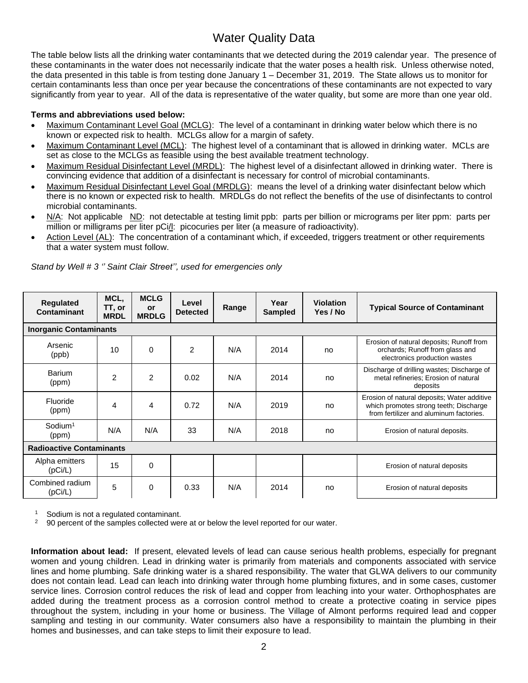## Water Quality Data

The table below lists all the drinking water contaminants that we detected during the 2019 calendar year. The presence of these contaminants in the water does not necessarily indicate that the water poses a health risk. Unless otherwise noted, the data presented in this table is from testing done January 1 – December 31, 2019. The State allows us to monitor for certain contaminants less than once per year because the concentrations of these contaminants are not expected to vary significantly from year to year. All of the data is representative of the water quality, but some are more than one year old.

#### **Terms and abbreviations used below:**

- Maximum Contaminant Level Goal (MCLG): The level of a contaminant in drinking water below which there is no known or expected risk to health. MCLGs allow for a margin of safety.
- Maximum Contaminant Level (MCL): The highest level of a contaminant that is allowed in drinking water. MCLs are set as close to the MCLGs as feasible using the best available treatment technology.
- Maximum Residual Disinfectant Level (MRDL): The highest level of a disinfectant allowed in drinking water. There is convincing evidence that addition of a disinfectant is necessary for control of microbial contaminants.
- Maximum Residual Disinfectant Level Goal (MRDLG): means the level of a drinking water disinfectant below which there is no known or expected risk to health. MRDLGs do not reflect the benefits of the use of disinfectants to control microbial contaminants.
- N/A: Not applicable ND: not detectable at testing limit ppb: parts per billion or micrograms per liter ppm: parts per million or milligrams per liter pCi/l: picocuries per liter (a measure of radioactivity).
- Action Level (AL): The concentration of a contaminant which, if exceeded, triggers treatment or other requirements that a water system must follow.

| <b>Regulated</b><br>Contaminant | MCL,<br>TT, or<br><b>MRDL</b> | <b>MCLG</b><br><b>or</b><br><b>MRDLG</b> | Level<br><b>Detected</b> | Range | Year<br><b>Sampled</b> | <b>Violation</b><br>Yes / No | <b>Typical Source of Contaminant</b>                                                                                             |
|---------------------------------|-------------------------------|------------------------------------------|--------------------------|-------|------------------------|------------------------------|----------------------------------------------------------------------------------------------------------------------------------|
| <b>Inorganic Contaminants</b>   |                               |                                          |                          |       |                        |                              |                                                                                                                                  |
| Arsenic<br>(ppb)                | 10                            | $\Omega$                                 | $\overline{2}$           | N/A   | 2014                   | no                           | Erosion of natural deposits; Runoff from<br>orchards; Runoff from glass and<br>electronics production wastes                     |
| Barium<br>(ppm)                 | $\overline{2}$                | $\overline{2}$                           | 0.02                     | N/A   | 2014                   | no                           | Discharge of drilling wastes; Discharge of<br>metal refineries; Erosion of natural<br>deposits                                   |
| Fluoride<br>(ppm)               | 4                             | 4                                        | 0.72                     | N/A   | 2019                   | no                           | Erosion of natural deposits; Water additive<br>which promotes strong teeth; Discharge<br>from fertilizer and aluminum factories. |
| Sodium <sup>1</sup><br>(ppm)    | N/A                           | N/A                                      | 33                       | N/A   | 2018                   | no                           | Erosion of natural deposits.                                                                                                     |
| <b>Radioactive Contaminants</b> |                               |                                          |                          |       |                        |                              |                                                                                                                                  |
| Alpha emitters<br>(pCi/L)       | 15                            | $\Omega$                                 |                          |       |                        |                              | Erosion of natural deposits                                                                                                      |
| Combined radium<br>(pCi/L)      | 5                             | 0                                        | 0.33                     | N/A   | 2014                   | no                           | Erosion of natural deposits                                                                                                      |

*Stand by Well # 3 '' Saint Clair Street'', used for emergencies only*

 $\frac{1}{2}$  Sodium is not a regulated contaminant.

<sup>2</sup> 90 percent of the samples collected were at or below the level reported for our water.

**Information about lead:** If present, elevated levels of lead can cause serious health problems, especially for pregnant women and young children. Lead in drinking water is primarily from materials and components associated with service lines and home plumbing. Safe drinking water is a shared responsibility. The water that GLWA delivers to our community does not contain lead. Lead can leach into drinking water through home plumbing fixtures, and in some cases, customer service lines. Corrosion control reduces the risk of lead and copper from leaching into your water. Orthophosphates are added during the treatment process as a corrosion control method to create a protective coating in service pipes throughout the system, including in your home or business. The Village of Almont performs required lead and copper sampling and testing in our community. Water consumers also have a responsibility to maintain the plumbing in their homes and businesses, and can take steps to limit their exposure to lead.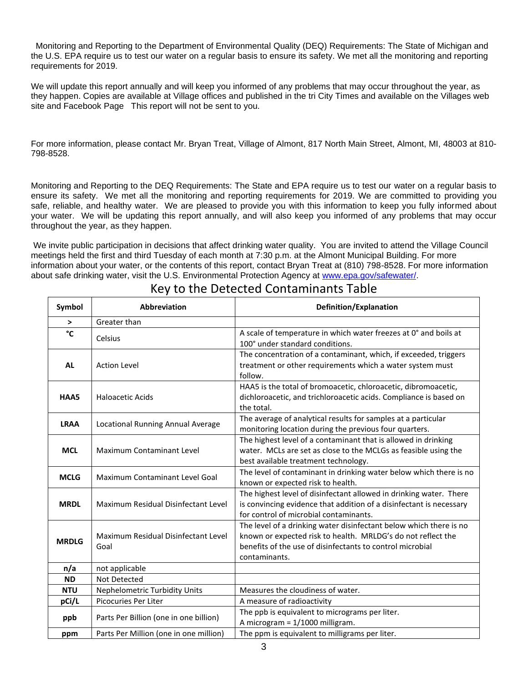Monitoring and Reporting to the Department of Environmental Quality (DEQ) Requirements: The State of Michigan and the U.S. EPA require us to test our water on a regular basis to ensure its safety. We met all the monitoring and reporting requirements for 2019.

We will update this report annually and will keep you informed of any problems that may occur throughout the year, as they happen. Copies are available at Village offices and published in the tri City Times and available on the Villages web site and Facebook Page This report will not be sent to you.

For more information, please contact Mr. Bryan Treat, Village of Almont, 817 North Main Street, Almont, MI, 48003 at 810- 798-8528.

Monitoring and Reporting to the DEQ Requirements: The State and EPA require us to test our water on a regular basis to ensure its safety. We met all the monitoring and reporting requirements for 2019. We are committed to providing you safe, reliable, and healthy water. We are pleased to provide you with this information to keep you fully informed about your water. We will be updating this report annually, and will also keep you informed of any problems that may occur throughout the year, as they happen.

We invite public participation in decisions that affect drinking water quality. You are invited to attend the Village Council meetings held the first and third Tuesday of each month at 7:30 p.m. at the Almont Municipal Building. For more information about your water, or the contents of this report, contact Bryan Treat at (810) 798-8528. For more information about safe drinking water, visit the U.S. Environmental Protection Agency at [www.epa.gov/safewater/.](http://www.epa.gov/safewater/)

| Symbol       | <b>Abbreviation</b>                         | Definition/Explanation                                                                                                                                                                                           |  |  |  |  |
|--------------|---------------------------------------------|------------------------------------------------------------------------------------------------------------------------------------------------------------------------------------------------------------------|--|--|--|--|
| $\geq$       | Greater than                                |                                                                                                                                                                                                                  |  |  |  |  |
| °C           | Celsius                                     | A scale of temperature in which water freezes at 0° and boils at<br>100° under standard conditions.                                                                                                              |  |  |  |  |
| <b>AL</b>    | <b>Action Level</b>                         | The concentration of a contaminant, which, if exceeded, triggers<br>treatment or other requirements which a water system must<br>follow.                                                                         |  |  |  |  |
| HAA5         | Haloacetic Acids                            | HAA5 is the total of bromoacetic, chloroacetic, dibromoacetic,<br>dichloroacetic, and trichloroacetic acids. Compliance is based on<br>the total.                                                                |  |  |  |  |
| <b>LRAA</b>  | Locational Running Annual Average           | The average of analytical results for samples at a particular<br>monitoring location during the previous four quarters.                                                                                          |  |  |  |  |
| <b>MCL</b>   | <b>Maximum Contaminant Level</b>            | The highest level of a contaminant that is allowed in drinking<br>water. MCLs are set as close to the MCLGs as feasible using the<br>best available treatment technology.                                        |  |  |  |  |
| <b>MCLG</b>  | Maximum Contaminant Level Goal              | The level of contaminant in drinking water below which there is no<br>known or expected risk to health.                                                                                                          |  |  |  |  |
| <b>MRDL</b>  | Maximum Residual Disinfectant Level         | The highest level of disinfectant allowed in drinking water. There<br>is convincing evidence that addition of a disinfectant is necessary<br>for control of microbial contaminants.                              |  |  |  |  |
| <b>MRDLG</b> | Maximum Residual Disinfectant Level<br>Goal | The level of a drinking water disinfectant below which there is no<br>known or expected risk to health. MRLDG's do not reflect the<br>benefits of the use of disinfectants to control microbial<br>contaminants. |  |  |  |  |
| n/a          | not applicable                              |                                                                                                                                                                                                                  |  |  |  |  |
| <b>ND</b>    | Not Detected                                |                                                                                                                                                                                                                  |  |  |  |  |
| <b>NTU</b>   | Nephelometric Turbidity Units               | Measures the cloudiness of water.                                                                                                                                                                                |  |  |  |  |
| pCi/L        | Picocuries Per Liter                        | A measure of radioactivity                                                                                                                                                                                       |  |  |  |  |
| ppb          | Parts Per Billion (one in one billion)      | The ppb is equivalent to micrograms per liter.<br>A microgram = 1/1000 milligram.                                                                                                                                |  |  |  |  |
| ppm          | Parts Per Million (one in one million)      | The ppm is equivalent to milligrams per liter.                                                                                                                                                                   |  |  |  |  |

## Key to the Detected Contaminants Table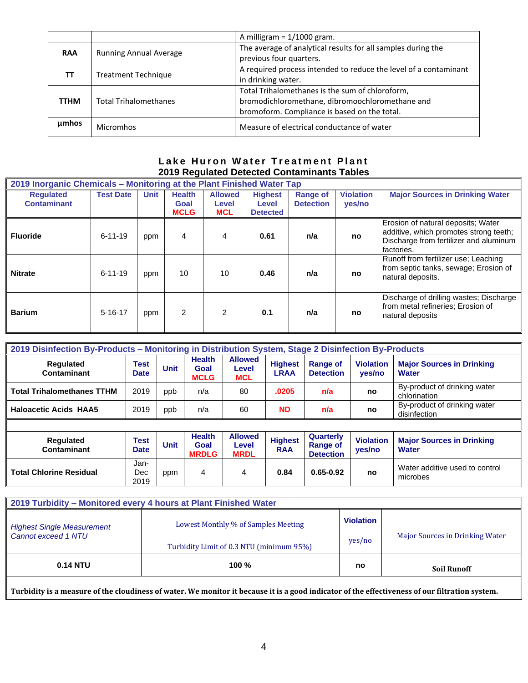|            |                               | A milligram = $1/1000$ gram.                                                                                                                       |  |  |  |
|------------|-------------------------------|----------------------------------------------------------------------------------------------------------------------------------------------------|--|--|--|
| <b>RAA</b> | <b>Running Annual Average</b> | The average of analytical results for all samples during the<br>previous four quarters.                                                            |  |  |  |
|            | <b>Treatment Technique</b>    | A required process intended to reduce the level of a contaminant<br>in drinking water.                                                             |  |  |  |
| TTHM       | <b>Total Trihalomethanes</b>  | Total Trihalomethanes is the sum of chloroform,<br>bromodichloromethane, dibromoochloromethane and<br>bromoform. Compliance is based on the total. |  |  |  |
| umhos      | <b>Micromhos</b>              | Measure of electrical conductance of water                                                                                                         |  |  |  |

### **Lake Huron Water Treatment Plant 2019 Regulated Detected Contaminants Tables**

| 2019 Inorganic Chemicals – Monitoring at the Plant Finished Water Tap |                  |             |                                      |                                       |                                            |                                     |                            |                                                                                                                                      |  |
|-----------------------------------------------------------------------|------------------|-------------|--------------------------------------|---------------------------------------|--------------------------------------------|-------------------------------------|----------------------------|--------------------------------------------------------------------------------------------------------------------------------------|--|
| <b>Requlated</b><br><b>Contaminant</b>                                | <b>Test Date</b> | <b>Unit</b> | <b>Health</b><br>Goal<br><b>MCLG</b> | <b>Allowed</b><br>Level<br><b>MCL</b> | <b>Highest</b><br>Level<br><b>Detected</b> | <b>Range of</b><br><b>Detection</b> | <b>Violation</b><br>yes/no | <b>Major Sources in Drinking Water</b>                                                                                               |  |
| <b>Fluoride</b>                                                       | $6 - 11 - 19$    | ppm         | 4                                    | 4                                     | 0.61                                       | n/a                                 | no                         | Erosion of natural deposits; Water<br>additive, which promotes strong teeth;<br>Discharge from fertilizer and aluminum<br>factories. |  |
| <b>Nitrate</b>                                                        | $6 - 11 - 19$    | ppm         | 10                                   | 10                                    | 0.46                                       | n/a                                 | no                         | Runoff from fertilizer use; Leaching<br>from septic tanks, sewage; Erosion of<br>natural deposits.                                   |  |
| <b>Barium</b>                                                         | $5 - 16 - 17$    | ppm         | $\overline{2}$                       | 2                                     | 0.1                                        | n/a                                 | no                         | Discharge of drilling wastes; Discharge<br>from metal refineries; Erosion of<br>natural deposits                                     |  |

| 2019 Disinfection By-Products - Monitoring in Distribution System, Stage 2 Disinfection By-Products |                            |             |                                      |                                       |                               |                                     |                            |                                                  |  |
|-----------------------------------------------------------------------------------------------------|----------------------------|-------------|--------------------------------------|---------------------------------------|-------------------------------|-------------------------------------|----------------------------|--------------------------------------------------|--|
| <b>Regulated</b><br>Contaminant                                                                     | <b>Test</b><br><b>Date</b> | <b>Unit</b> | <b>Health</b><br>Goal<br><b>MCLG</b> | <b>Allowed</b><br>Level<br><b>MCL</b> | <b>Highest</b><br><b>LRAA</b> | <b>Range of</b><br><b>Detection</b> | <b>Violation</b><br>yes/no | <b>Major Sources in Drinking</b><br><b>Water</b> |  |
| <b>Total Trihalomethanes TTHM</b>                                                                   | 2019                       | ppb         | n/a                                  | 80                                    | .0205                         | n/a                                 | no                         | By-product of drinking water<br>chlorination     |  |
| <b>Haloacetic Acids HAA5</b>                                                                        | 2019                       | ppb         | n/a                                  | 60                                    | <b>ND</b>                     | n/a                                 | no                         | By-product of drinking water<br>disinfection     |  |
|                                                                                                     |                            |             |                                      |                                       |                               |                                     |                            |                                                  |  |

| Regulated<br>Contaminant       | Test<br>Date        | Unit | <b>Health</b><br>Goal<br><b>MRDLG</b> | <b>Allowed</b><br>Level<br><b>MRDL</b> | <b>Highest</b><br><b>RAA</b> | Quarterly<br><b>Range of</b><br><b>Detection</b> | <b>Violation</b><br>ves/no | <b>Major Sources in Drinking</b><br><b>Water</b> |
|--------------------------------|---------------------|------|---------------------------------------|----------------------------------------|------------------------------|--------------------------------------------------|----------------------------|--------------------------------------------------|
| <b>Total Chlorine Residual</b> | Jan-<br>Dec<br>2019 | ppm  | 4                                     | 4                                      | 0.84                         | $0.65 - 0.92$                                    | no                         | Water additive used to control<br>microbes       |

| 2019 Turbidity - Monitored every 4 hours at Plant Finished Water |                                          |                  |                                 |  |  |  |  |  |  |
|------------------------------------------------------------------|------------------------------------------|------------------|---------------------------------|--|--|--|--|--|--|
| <b>Highest Single Measurement</b>                                | Lowest Monthly % of Samples Meeting      | <b>Violation</b> |                                 |  |  |  |  |  |  |
| Cannot exceed 1 NTU                                              | Turbidity Limit of 0.3 NTU (minimum 95%) | yes/no           | Major Sources in Drinking Water |  |  |  |  |  |  |
| <b>0.14 NTU</b>                                                  | 100 $%$                                  | no               | <b>Soil Runoff</b>              |  |  |  |  |  |  |

**Turbidity is a measure of the cloudiness of water. We monitor it because it is a good indicator of the effectiveness of our filtration system.**